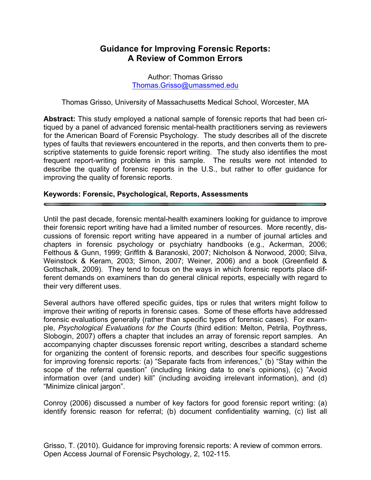# **Guidance for Improving Forensic Reports: A Review of Common Errors**

Author: Thomas Grisso Thomas.Grisso@umassmed.edu

Thomas Grisso, University of Massachusetts Medical School, Worcester, MA

**Abstract:** This study employed a national sample of forensic reports that had been critiqued by a panel of advanced forensic mental-health practitioners serving as reviewers for the American Board of Forensic Psychology. The study describes all of the discrete types of faults that reviewers encountered in the reports, and then converts them to prescriptive statements to guide forensic report writing. The study also identifies the most frequent report-writing problems in this sample. The results were not intended to describe the quality of forensic reports in the U.S., but rather to offer guidance for improving the quality of forensic reports.

#### **Keywords: Forensic, Psychological, Reports, Assessments**

Until the past decade, forensic mental-health examiners looking for guidance to improve their forensic report writing have had a limited number of resources. More recently, discussions of forensic report writing have appeared in a number of journal articles and chapters in forensic psychology or psychiatry handbooks (e.g., Ackerman, 2006; Felthous & Gunn, 1999; Griffith & Baranoski, 2007; Nicholson & Norwood, 2000; Silva, Weinstock & Keram, 2003; Simon, 2007; Weiner, 2006) and a book (Greenfield & Gottschalk, 2009). They tend to focus on the ways in which forensic reports place different demands on examiners than do general clinical reports, especially with regard to their very different uses.

Several authors have offered specific guides, tips or rules that writers might follow to improve their writing of reports in forensic cases. Some of these efforts have addressed forensic evaluations generally (rather than specific types of forensic cases). For example, *Psychological Evaluations for the Courts* (third edition: Melton, Petrila, Poythress, Slobogin, 2007) offers a chapter that includes an array of forensic report samples. An accompanying chapter discusses forensic report writing, describes a standard scheme for organizing the content of forensic reports, and describes four specific suggestions for improving forensic reports: (a) "Separate facts from inferences," (b) "Stay within the scope of the referral question" (including linking data to one's opinions), (c) "Avoid information over (and under) kill" (including avoiding irrelevant information), and (d) "Minimize clinical jargon".

Conroy (2006) discussed a number of key factors for good forensic report writing: (a) identify forensic reason for referral; (b) document confidentiality warning, (c) list all

Grisso, T. (2010). Guidance for improving forensic reports: A review of common errors. Open Access Journal of Forensic Psychology, 2, 102-115.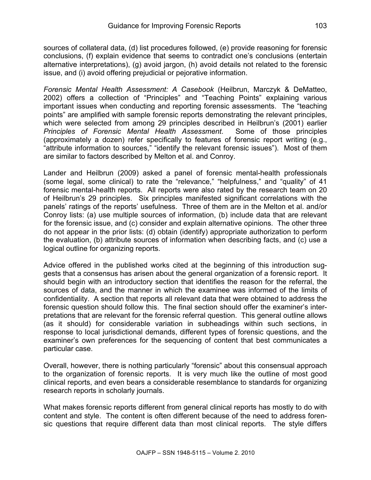sources of collateral data, (d) list procedures followed, (e) provide reasoning for forensic conclusions, (f) explain evidence that seems to contradict one's conclusions (entertain alternative interpretations), (g) avoid jargon, (h) avoid details not related to the forensic issue, and (i) avoid offering prejudicial or pejorative information.

*Forensic Mental Health Assessment: A Casebook* (Heilbrun, Marczyk & DeMatteo, 2002) offers a collection of "Principles" and "Teaching Points" explaining various important issues when conducting and reporting forensic assessments. The "teaching points" are amplified with sample forensic reports demonstrating the relevant principles, which were selected from among 29 principles described in Heilbrun's (2001) earlier *Principles of Forensic Mental Health Assessment*. Some of those principles (approximately a dozen) refer specifically to features of forensic report writing (e.g., "attribute information to sources," "identify the relevant forensic issues"). Most of them are similar to factors described by Melton et al. and Conroy.

Lander and Heilbrun (2009) asked a panel of forensic mental-health professionals (some legal, some clinical) to rate the "relevance," "helpfulness," and "quality" of 41 forensic mental-health reports. All reports were also rated by the research team on 20 of Heilbrun's 29 principles. Six principles manifested significant correlations with the panels' ratings of the reports' usefulness. Three of them are in the Melton et al. and/or Conroy lists: (a) use multiple sources of information, (b) include data that are relevant for the forensic issue, and (c) consider and explain alternative opinions. The other three do not appear in the prior lists: (d) obtain (identify) appropriate authorization to perform the evaluation, (b) attribute sources of information when describing facts, and (c) use a logical outline for organizing reports.

Advice offered in the published works cited at the beginning of this introduction suggests that a consensus has arisen about the general organization of a forensic report. It should begin with an introductory section that identifies the reason for the referral, the sources of data, and the manner in which the examinee was informed of the limits of confidentiality. A section that reports all relevant data that were obtained to address the forensic question should follow this. The final section should offer the examiner's interpretations that are relevant for the forensic referral question. This general outline allows (as it should) for considerable variation in subheadings within such sections, in response to local jurisdictional demands, different types of forensic questions, and the examiner's own preferences for the sequencing of content that best communicates a particular case.

Overall, however, there is nothing particularly "forensic" about this consensual approach to the organization of forensic reports. It is very much like the outline of most good clinical reports, and even bears a considerable resemblance to standards for organizing research reports in scholarly journals.

What makes forensic reports different from general clinical reports has mostly to do with content and style. The content is often different because of the need to address forensic questions that require different data than most clinical reports. The style differs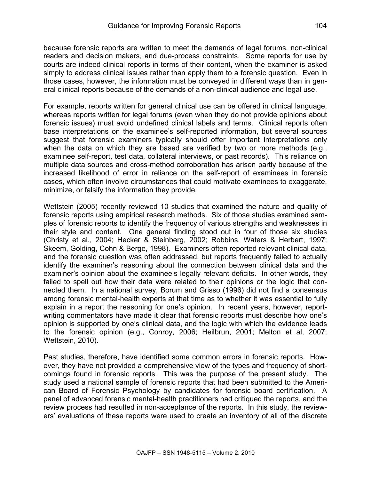because forensic reports are written to meet the demands of legal forums, non-clinical readers and decision makers, and due-process constraints. Some reports for use by courts are indeed clinical reports in terms of their content, when the examiner is asked simply to address clinical issues rather than apply them to a forensic question. Even in those cases, however, the information must be conveyed in different ways than in general clinical reports because of the demands of a non-clinical audience and legal use.

For example, reports written for general clinical use can be offered in clinical language, whereas reports written for legal forums (even when they do not provide opinions about forensic issues) must avoid undefined clinical labels and terms. Clinical reports often base interpretations on the examinee's self-reported information, but several sources suggest that forensic examiners typically should offer important interpretations only when the data on which they are based are verified by two or more methods (e.g., examinee self-report, test data, collateral interviews, or past records). This reliance on multiple data sources and cross-method corroboration has arisen partly because of the increased likelihood of error in reliance on the self-report of examinees in forensic cases, which often involve circumstances that could motivate examinees to exaggerate, minimize, or falsify the information they provide.

Wettstein (2005) recently reviewed 10 studies that examined the nature and quality of forensic reports using empirical research methods. Six of those studies examined samples of forensic reports to identify the frequency of various strengths and weaknesses in their style and content. One general finding stood out in four of those six studies (Christy et al., 2004; Hecker & Steinberg, 2002; Robbins, Waters & Herbert, 1997; Skeem, Golding, Cohn & Berge, 1998). Examiners often reported relevant clinical data, and the forensic question was often addressed, but reports frequently failed to actually identify the examiner's reasoning about the connection between clinical data and the examiner's opinion about the examinee's legally relevant deficits. In other words, they failed to spell out how their data were related to their opinions or the logic that connected them. In a national survey, Borum and Grisso (1996) did not find a consensus among forensic mental-health experts at that time as to whether it was essential to fully explain in a report the reasoning for one's opinion. In recent years, however, reportwriting commentators have made it clear that forensic reports must describe how one's opinion is supported by one's clinical data, and the logic with which the evidence leads to the forensic opinion (e.g., Conroy, 2006; Heilbrun, 2001; Melton et al, 2007; Wettstein, 2010).

Past studies, therefore, have identified some common errors in forensic reports. However, they have not provided a comprehensive view of the types and frequency of shortcomings found in forensic reports. This was the purpose of the present study. The study used a national sample of forensic reports that had been submitted to the American Board of Forensic Psychology by candidates for forensic board certification. A panel of advanced forensic mental-health practitioners had critiqued the reports, and the review process had resulted in non-acceptance of the reports. In this study, the reviewers' evaluations of these reports were used to create an inventory of all of the discrete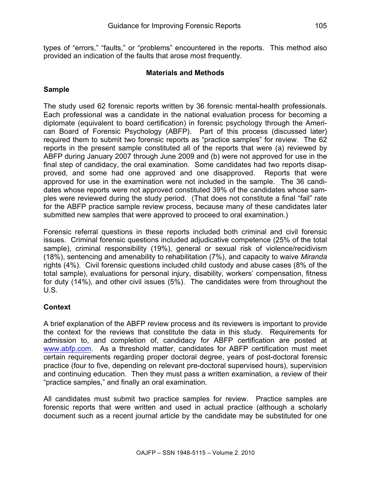types of "errors," "faults," or "problems" encountered in the reports. This method also provided an indication of the faults that arose most frequently.

## **Materials and Methods**

## **Sample**

The study used 62 forensic reports written by 36 forensic mental-health professionals. Each professional was a candidate in the national evaluation process for becoming a diplomate (equivalent to board certification) in forensic psychology through the American Board of Forensic Psychology (ABFP). Part of this process (discussed later) required them to submit two forensic reports as "practice samples" for review. The 62 reports in the present sample constituted all of the reports that were (a) reviewed by ABFP during January 2007 through June 2009 and (b) were not approved for use in the final step of candidacy, the oral examination. Some candidates had two reports disapproved, and some had one approved and one disapproved. Reports that were approved for use in the examination were not included in the sample. The 36 candidates whose reports were not approved constituted 39% of the candidates whose samples were reviewed during the study period. (That does not constitute a final "fail" rate for the ABFP practice sample review process, because many of these candidates later submitted new samples that were approved to proceed to oral examination.)

Forensic referral questions in these reports included both criminal and civil forensic issues. Criminal forensic questions included adjudicative competence (25% of the total sample), criminal responsibility (19%), general or sexual risk of violence/recidivism (18%), sentencing and amenability to rehabilitation (7%), and capacity to waive *Miranda* rights (4%). Civil forensic questions included child custody and abuse cases (8% of the total sample), evaluations for personal injury, disability, workers' compensation, fitness for duty (14%), and other civil issues (5%). The candidates were from throughout the U.S.

## **Context**

A brief explanation of the ABFP review process and its reviewers is important to provide the context for the reviews that constitute the data in this study. Requirements for admission to, and completion of, candidacy for ABFP certification are posted at www.abfp.com. As a threshold matter, candidates for ABFP certification must meet certain requirements regarding proper doctoral degree, years of post-doctoral forensic practice (four to five, depending on relevant pre-doctoral supervised hours), supervision and continuing education. Then they must pass a written examination, a review of their "practice samples," and finally an oral examination.

All candidates must submit two practice samples for review. Practice samples are forensic reports that were written and used in actual practice (although a scholarly document such as a recent journal article by the candidate may be substituted for one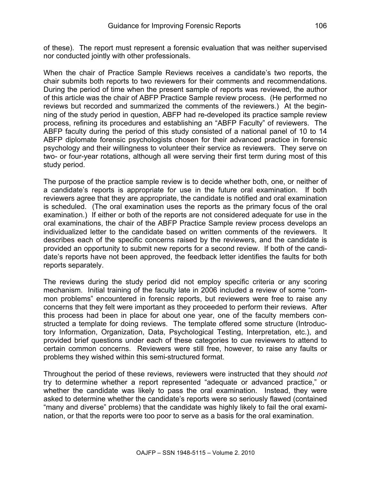of these). The report must represent a forensic evaluation that was neither supervised nor conducted jointly with other professionals.

When the chair of Practice Sample Reviews receives a candidate's two reports, the chair submits both reports to two reviewers for their comments and recommendations. During the period of time when the present sample of reports was reviewed, the author of this article was the chair of ABFP Practice Sample review process. (He performed no reviews but recorded and summarized the comments of the reviewers.) At the beginning of the study period in question, ABFP had re-developed its practice sample review process, refining its procedures and establishing an "ABFP Faculty" of reviewers. The ABFP faculty during the period of this study consisted of a national panel of 10 to 14 ABFP diplomate forensic psychologists chosen for their advanced practice in forensic psychology and their willingness to volunteer their service as reviewers. They serve on two- or four-year rotations, although all were serving their first term during most of this study period.

The purpose of the practice sample review is to decide whether both, one, or neither of a candidate's reports is appropriate for use in the future oral examination. If both reviewers agree that they are appropriate, the candidate is notified and oral examination is scheduled. (The oral examination uses the reports as the primary focus of the oral examination.) If either or both of the reports are not considered adequate for use in the oral examinations, the chair of the ABFP Practice Sample review process develops an individualized letter to the candidate based on written comments of the reviewers. It describes each of the specific concerns raised by the reviewers, and the candidate is provided an opportunity to submit new reports for a second review. If both of the candidate's reports have not been approved, the feedback letter identifies the faults for both reports separately.

The reviews during the study period did not employ specific criteria or any scoring mechanism. Initial training of the faculty late in 2006 included a review of some "common problems" encountered in forensic reports, but reviewers were free to raise any concerns that they felt were important as they proceeded to perform their reviews. After this process had been in place for about one year, one of the faculty members constructed a template for doing reviews. The template offered some structure (Introductory Information, Organization, Data, Psychological Testing, Interpretation, etc.), and provided brief questions under each of these categories to cue reviewers to attend to certain common concerns. Reviewers were still free, however, to raise any faults or problems they wished within this semi-structured format.

Throughout the period of these reviews, reviewers were instructed that they should *not* try to determine whether a report represented "adequate or advanced practice," or whether the candidate was likely to pass the oral examination. Instead, they were asked to determine whether the candidate's reports were so seriously flawed (contained "many and diverse" problems) that the candidate was highly likely to fail the oral examination, or that the reports were too poor to serve as a basis for the oral examination.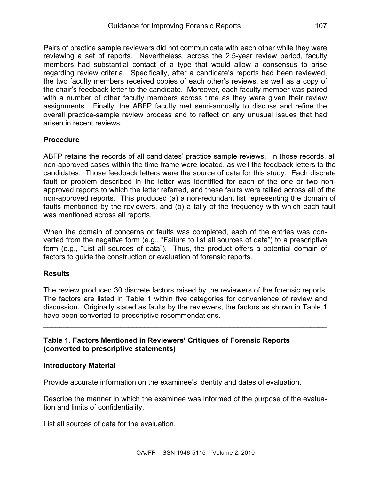Pairs of practice sample reviewers did not communicate with each other while they were reviewing a set of reports. Nevertheless, across the 2.5-year review period, faculty members had substantial contact of a type that would allow a consensus to arise regarding review criteria. Specifically, after a candidate's reports had been reviewed, the two faculty members received copies of each other's reviews, as well as a copy of the chair's feedback letter to the candidate. Moreover, each faculty member was paired with a number of other faculty members across time as they were given their review assignments. Finally, the ABFP faculty met semi-annually to discuss and refine the overall practice-sample review process and to reflect on any unusual issues that had arisen in recent reviews.

### **Procedure**

ABFP retains the records of all candidates' practice sample reviews. In those records, all non-approved cases within the time frame were located, as well the feedback letters to the candidates. Those feedback letters were the source of data for this study. Each discrete fault or problem described in the letter was identified for each of the one or two nonapproved reports to which the letter referred, and these faults were tallied across all of the non-approved reports. This produced (a) a non-redundant list representing the domain of faults mentioned by the reviewers, and (b) a tally of the frequency with which each fault was mentioned across all reports.

When the domain of concerns or faults was completed, each of the entries was converted from the negative form (e.g., "Failure to list all sources of data") to a prescriptive form (e.g., "List all sources of data"). Thus, the product offers a potential domain of factors to guide the construction or evaluation of forensic reports.

#### **Results**

The review produced 30 discrete factors raised by the reviewers of the forensic reports. The factors are listed in Table 1 within five categories for convenience of review and discussion. Originally stated as faults by the reviewers, the factors as shown in Table 1 have been converted to prescriptive recommendations.

\_\_\_\_\_\_\_\_\_\_\_\_\_\_\_\_\_\_\_\_\_\_\_\_\_\_\_\_\_\_\_\_\_\_\_\_\_\_\_\_\_\_\_\_\_\_\_\_\_\_\_\_\_\_\_\_\_\_\_\_\_\_\_\_\_\_\_\_\_\_

### **Table 1. Factors Mentioned in Reviewers' Critiques of Forensic Reports (converted to prescriptive statements)**

#### **Introductory Material**

Provide accurate information on the examinee's identity and dates of evaluation.

Describe the manner in which the examinee was informed of the purpose of the evaluation and limits of confidentiality.

List all sources of data for the evaluation.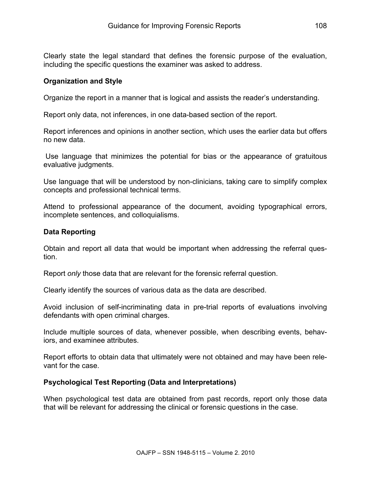Clearly state the legal standard that defines the forensic purpose of the evaluation, including the specific questions the examiner was asked to address.

#### **Organization and Style**

Organize the report in a manner that is logical and assists the reader's understanding.

Report only data, not inferences, in one data-based section of the report.

Report inferences and opinions in another section, which uses the earlier data but offers no new data.

Use language that minimizes the potential for bias or the appearance of gratuitous evaluative judgments.

Use language that will be understood by non-clinicians, taking care to simplify complex concepts and professional technical terms.

Attend to professional appearance of the document, avoiding typographical errors, incomplete sentences, and colloquialisms.

#### **Data Reporting**

Obtain and report all data that would be important when addressing the referral question.

Report *only* those data that are relevant for the forensic referral question.

Clearly identify the sources of various data as the data are described.

Avoid inclusion of self-incriminating data in pre-trial reports of evaluations involving defendants with open criminal charges.

Include multiple sources of data, whenever possible, when describing events, behaviors, and examinee attributes.

Report efforts to obtain data that ultimately were not obtained and may have been relevant for the case.

#### **Psychological Test Reporting (Data and Interpretations)**

When psychological test data are obtained from past records, report only those data that will be relevant for addressing the clinical or forensic questions in the case.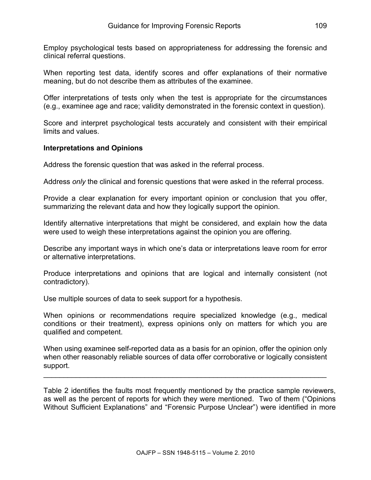Employ psychological tests based on appropriateness for addressing the forensic and clinical referral questions.

When reporting test data, identify scores and offer explanations of their normative meaning, but do not describe them as attributes of the examinee.

Offer interpretations of tests only when the test is appropriate for the circumstances (e.g., examinee age and race; validity demonstrated in the forensic context in question).

Score and interpret psychological tests accurately and consistent with their empirical limits and values.

#### **Interpretations and Opinions**

Address the forensic question that was asked in the referral process.

Address *only* the clinical and forensic questions that were asked in the referral process.

Provide a clear explanation for every important opinion or conclusion that you offer, summarizing the relevant data and how they logically support the opinion.

Identify alternative interpretations that might be considered, and explain how the data were used to weigh these interpretations against the opinion you are offering.

Describe any important ways in which one's data or interpretations leave room for error or alternative interpretations.

Produce interpretations and opinions that are logical and internally consistent (not contradictory).

Use multiple sources of data to seek support for a hypothesis.

When opinions or recommendations require specialized knowledge (e.g., medical conditions or their treatment), express opinions only on matters for which you are qualified and competent.

When using examinee self-reported data as a basis for an opinion, offer the opinion only when other reasonably reliable sources of data offer corroborative or logically consistent support.

\_\_\_\_\_\_\_\_\_\_\_\_\_\_\_\_\_\_\_\_\_\_\_\_\_\_\_\_\_\_\_\_\_\_\_\_\_\_\_\_\_\_\_\_\_\_\_\_\_\_\_\_\_\_\_\_\_\_\_\_\_\_\_\_\_\_\_\_\_\_

Table 2 identifies the faults most frequently mentioned by the practice sample reviewers, as well as the percent of reports for which they were mentioned. Two of them ("Opinions Without Sufficient Explanations" and "Forensic Purpose Unclear") were identified in more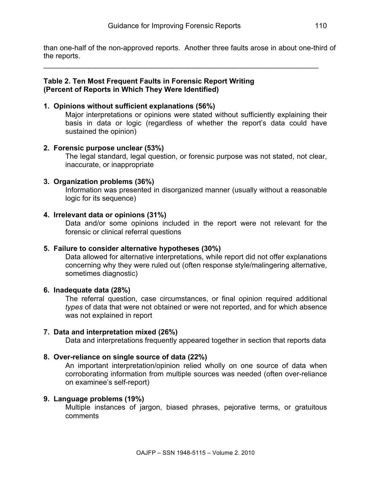than one-half of the non-approved reports. Another three faults arose in about one-third of the reports.

 $\_$ 

#### **Table 2. Ten Most Frequent Faults in Forensic Report Writing (Percent of Reports in Which They Were Identified)**

#### **1. Opinions without sufficient explanations (56%)**

Major interpretations or opinions were stated without sufficiently explaining their basis in data or logic (regardless of whether the report's data could have sustained the opinion)

#### **2. Forensic purpose unclear (53%)**

The legal standard, legal question, or forensic purpose was not stated, not clear, inaccurate, or inappropriate

### **3. Organization problems (36%)**

Information was presented in disorganized manner (usually without a reasonable logic for its sequence)

#### **4. Irrelevant data or opinions (31%)**

Data and/or some opinions included in the report were not relevant for the forensic or clinical referral questions

#### **5. Failure to consider alternative hypotheses (30%)**

Data allowed for alternative interpretations, while report did not offer explanations concerning why they were ruled out (often response style/malingering alternative, sometimes diagnostic)

#### **6. Inadequate data (28%)**

The referral question, case circumstances, or final opinion required additional *types* of data that were not obtained or were not reported, and for which absence was not explained in report

#### **7. Data and interpretation mixed (26%)**

Data and interpretations frequently appeared together in section that reports data

#### **8. Over-reliance on single source of data (22%)**

An important interpretation/opinion relied wholly on one source of data when corroborating information from multiple sources was needed (often over-reliance on examinee's self-report)

#### **9. Language problems (19%)**

Multiple instances of jargon, biased phrases, pejorative terms, or gratuitous comments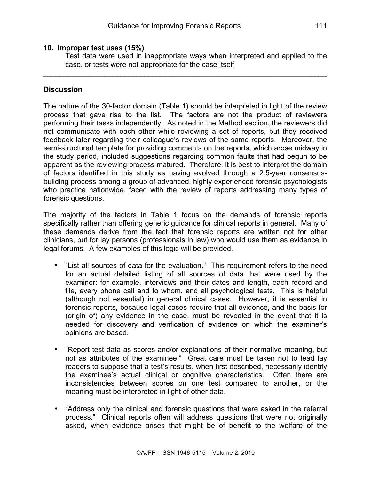Test data were used in inappropriate ways when interpreted and applied to the case, or tests were not appropriate for the case itself

\_\_\_\_\_\_\_\_\_\_\_\_\_\_\_\_\_\_\_\_\_\_\_\_\_\_\_\_\_\_\_\_\_\_\_\_\_\_\_\_\_\_\_\_\_\_\_\_\_\_\_\_\_\_\_\_\_\_\_\_\_\_\_\_\_\_\_\_\_\_

### **Discussion**

The nature of the 30-factor domain (Table 1) should be interpreted in light of the review process that gave rise to the list. The factors are not the product of reviewers performing their tasks independently. As noted in the Method section, the reviewers did not communicate with each other while reviewing a set of reports, but they received feedback later regarding their colleague's reviews of the same reports. Moreover, the semi-structured template for providing comments on the reports, which arose midway in the study period, included suggestions regarding common faults that had begun to be apparent as the reviewing process matured. Therefore, it is best to interpret the domain of factors identified in this study as having evolved through a 2.5-year consensusbuilding process among a group of advanced, highly experienced forensic psychologists who practice nationwide, faced with the review of reports addressing many types of forensic questions.

The majority of the factors in Table 1 focus on the demands of forensic reports specifically rather than offering generic guidance for clinical reports in general. Many of these demands derive from the fact that forensic reports are written not for other clinicians, but for lay persons (professionals in law) who would use them as evidence in legal forums. A few examples of this logic will be provided.

- "List all sources of data for the evaluation." This requirement refers to the need for an actual detailed listing of all sources of data that were used by the examiner: for example, interviews and their dates and length, each record and file, every phone call and to whom, and all psychological tests. This is helpful (although not essential) in general clinical cases. However, it is essential in forensic reports, because legal cases require that all evidence, and the basis for (origin of) any evidence in the case, must be revealed in the event that it is needed for discovery and verification of evidence on which the examiner's opinions are based.
- "Report test data as scores and/or explanations of their normative meaning, but not as attributes of the examinee." Great care must be taken not to lead lay readers to suppose that a test's results, when first described, necessarily identify the examinee's actual clinical or cognitive characteristics. Often there are inconsistencies between scores on one test compared to another, or the meaning must be interpreted in light of other data.
- "Address only the clinical and forensic questions that were asked in the referral process." Clinical reports often will address questions that were not originally asked, when evidence arises that might be of benefit to the welfare of the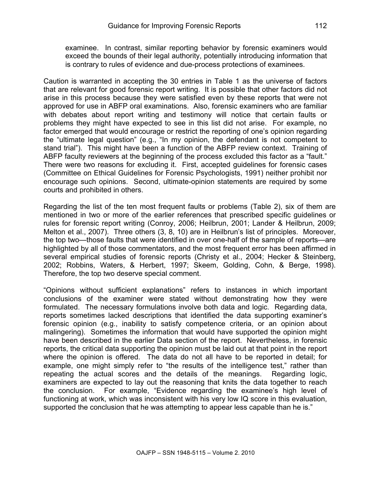examinee. In contrast, similar reporting behavior by forensic examiners would exceed the bounds of their legal authority, potentially introducing information that is contrary to rules of evidence and due-process protections of examinees.

Caution is warranted in accepting the 30 entries in Table 1 as the universe of factors that are relevant for good forensic report writing. It is possible that other factors did not arise in this process because they were satisfied even by these reports that were not approved for use in ABFP oral examinations. Also, forensic examiners who are familiar with debates about report writing and testimony will notice that certain faults or problems they might have expected to see in this list did not arise. For example, no factor emerged that would encourage or restrict the reporting of one's opinion regarding the "ultimate legal question" (e.g., "In my opinion, the defendant is not competent to stand trial"). This might have been a function of the ABFP review context. Training of ABFP faculty reviewers at the beginning of the process excluded this factor as a "fault." There were two reasons for excluding it. First, accepted guidelines for forensic cases (Committee on Ethical Guidelines for Forensic Psychologists, 1991) neither prohibit nor encourage such opinions. Second, ultimate-opinion statements are required by some courts and prohibited in others.

Regarding the list of the ten most frequent faults or problems (Table 2), six of them are mentioned in two or more of the earlier references that prescribed specific guidelines or rules for forensic report writing (Conroy, 2006; Heilbrun, 2001; Lander & Heilbrun, 2009; Melton et al., 2007). Three others (3, 8, 10) are in Heilbrun's list of principles. Moreover, the top two—those faults that were identified in over one-half of the sample of reports—are highlighted by all of those commentators, and the most frequent error has been affirmed in several empirical studies of forensic reports (Christy et al., 2004; Hecker & Steinberg, 2002; Robbins, Waters, & Herbert, 1997; Skeem, Golding, Cohn, & Berge, 1998). Therefore, the top two deserve special comment.

"Opinions without sufficient explanations" refers to instances in which important conclusions of the examiner were stated without demonstrating how they were formulated. The necessary formulations involve both data and logic. Regarding data, reports sometimes lacked descriptions that identified the data supporting examiner's forensic opinion (e.g., inability to satisfy competence criteria, or an opinion about malingering). Sometimes the information that would have supported the opinion might have been described in the earlier Data section of the report. Nevertheless, in forensic reports, the critical data supporting the opinion must be laid out at that point in the report where the opinion is offered. The data do not all have to be reported in detail; for example, one might simply refer to "the results of the intelligence test," rather than repeating the actual scores and the details of the meanings. Regarding logic, examiners are expected to lay out the reasoning that knits the data together to reach the conclusion. For example, "Evidence regarding the examinee's high level of functioning at work, which was inconsistent with his very low IQ score in this evaluation, supported the conclusion that he was attempting to appear less capable than he is."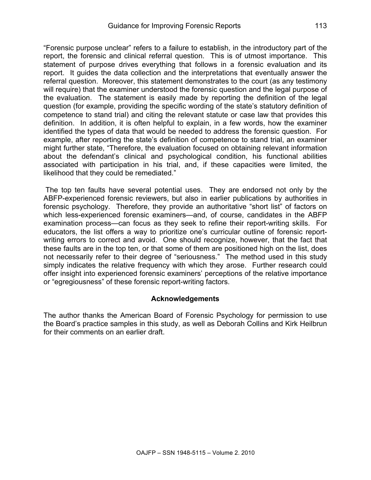"Forensic purpose unclear" refers to a failure to establish, in the introductory part of the report, the forensic and clinical referral question. This is of utmost importance. This statement of purpose drives everything that follows in a forensic evaluation and its report. It guides the data collection and the interpretations that eventually answer the referral question. Moreover, this statement demonstrates to the court (as any testimony will require) that the examiner understood the forensic question and the legal purpose of the evaluation. The statement is easily made by reporting the definition of the legal question (for example, providing the specific wording of the state's statutory definition of competence to stand trial) and citing the relevant statute or case law that provides this definition. In addition, it is often helpful to explain, in a few words, how the examiner identified the types of data that would be needed to address the forensic question. For example, after reporting the state's definition of competence to stand trial, an examiner might further state, "Therefore, the evaluation focused on obtaining relevant information about the defendant's clinical and psychological condition, his functional abilities associated with participation in his trial, and, if these capacities were limited, the likelihood that they could be remediated."

The top ten faults have several potential uses. They are endorsed not only by the ABFP-experienced forensic reviewers, but also in earlier publications by authorities in forensic psychology. Therefore, they provide an authoritative "short list" of factors on which less-experienced forensic examiners—and, of course, candidates in the ABFP examination process—can focus as they seek to refine their report-writing skills. For educators, the list offers a way to prioritize one's curricular outline of forensic reportwriting errors to correct and avoid. One should recognize, however, that the fact that these faults are in the top ten, or that some of them are positioned high on the list, does not necessarily refer to their degree of "seriousness." The method used in this study simply indicates the relative frequency with which they arose. Further research could offer insight into experienced forensic examiners' perceptions of the relative importance or "egregiousness" of these forensic report-writing factors.

#### **Acknowledgements**

The author thanks the American Board of Forensic Psychology for permission to use the Board's practice samples in this study, as well as Deborah Collins and Kirk Heilbrun for their comments on an earlier draft.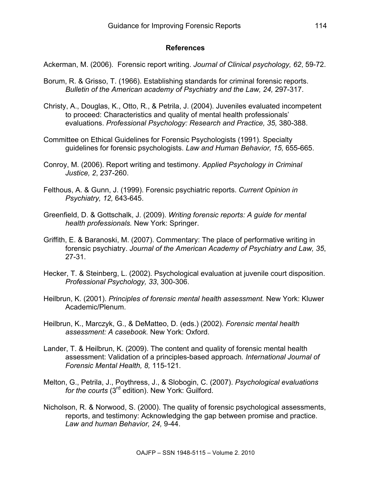#### **References**

Ackerman, M. (2006). Forensic report writing. *Journal of Clinical psychology, 62*, 59-72.

- Borum, R. & Grisso, T. (1966). Establishing standards for criminal forensic reports. *Bulletin of the American academy of Psychiatry and the Law, 24,* 297-317.
- Christy, A., Douglas, K., Otto, R., & Petrila, J. (2004). Juveniles evaluated incompetent to proceed: Characteristics and quality of mental health professionals' evaluations. *Professional Psychology: Research and Practice, 35,* 380-388.
- Committee on Ethical Guidelines for Forensic Psychologists (1991). Specialty guidelines for forensic psychologists. *Law and Human Behavior, 15,* 655-665.
- Conroy, M. (2006). Report writing and testimony. *Applied Psychology in Criminal Justice, 2*, 237-260.
- Felthous, A. & Gunn, J. (1999). Forensic psychiatric reports. *Current Opinion in Psychiatry, 12,* 643-645.
- Greenfield, D. & Gottschalk, J. (2009). *Writing forensic reports: A guide for mental health professionals.* New York: Springer.
- Griffith, E. & Baranoski, M. (2007). Commentary: The place of performative writing in forensic psychiatry. *Journal of the American Academy of Psychiatry and Law, 35*, 27-31.
- Hecker, T. & Steinberg, L. (2002). Psychological evaluation at juvenile court disposition. *Professional Psychology, 33*, 300-306.
- Heilbrun, K. (2001). *Principles of forensic mental health assessment.* New York: Kluwer Academic/Plenum.
- Heilbrun, K., Marczyk, G., & DeMatteo, D. (eds.) (2002). *Forensic mental health assessment: A casebook.* New York: Oxford.
- Lander, T. & Heilbrun, K. (2009). The content and quality of forensic mental health assessment: Validation of a principles-based approach*. International Journal of Forensic Mental Health, 8,* 115-121.
- Melton, G., Petrila, J., Poythress, J., & Slobogin, C. (2007). *Psychological evaluations*  for the courts (3<sup>rd</sup> edition). New York: Guilford.
- Nicholson, R. & Norwood, S. (2000). The quality of forensic psychological assessments, reports, and testimony: Acknowledging the gap between promise and practice. *Law and human Behavior, 24,* 9-44.